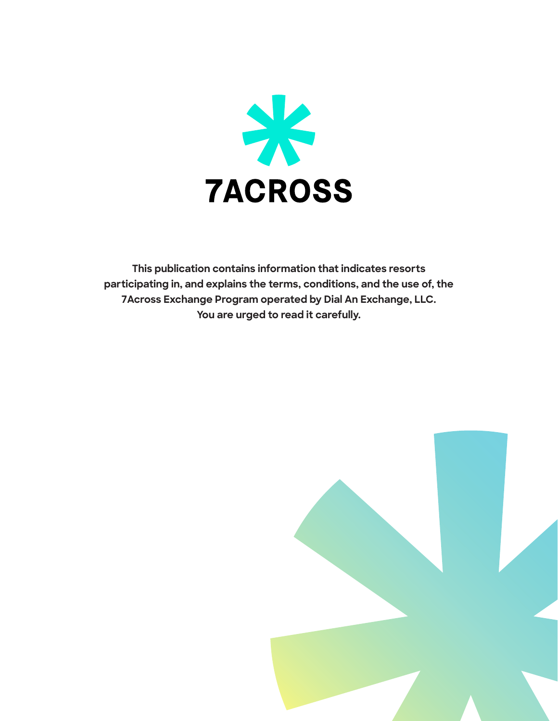

**This publication contains information that indicates resorts participating in, and explains the terms, conditions, and the use of, the 7Across Exchange Program operated by Dial An Exchange, LLC. You are urged to read it carefully.**

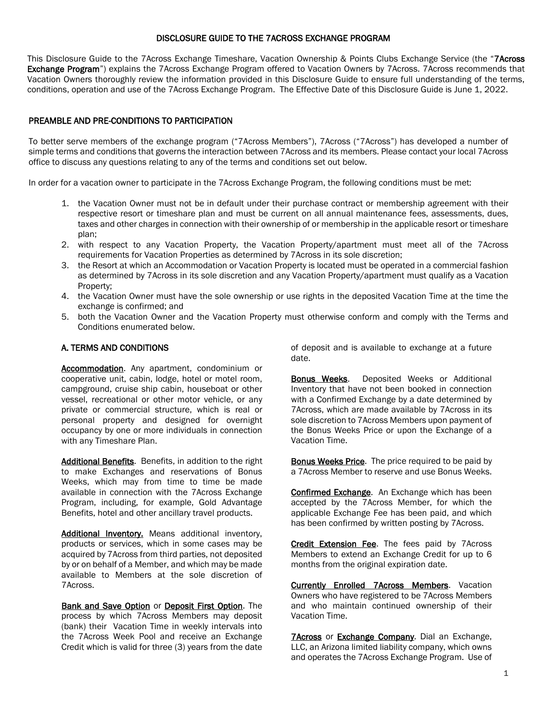### DISCLOSURE GUIDE TO THE 7ACROSS EXCHANGE PROGRAM

This Disclosure Guide to the 7Across Exchange Timeshare, Vacation Ownership & Points Clubs Exchange Service (the "7Across") Exchange Program") explains the 7Across Exchange Program offered to Vacation Owners by 7Across. 7Across recommends that Vacation Owners thoroughly review the information provided in this Disclosure Guide to ensure full understanding of the terms, conditions, operation and use of the 7Across Exchange Program. The Effective Date of this Disclosure Guide is June 1, 2022.

# PREAMBLE AND PRE-CONDITIONS TO PARTICIPATION

To better serve members of the exchange program ("7Across Members"), 7Across ("7Across") has developed a number of simple terms and conditions that governs the interaction between 7Across and its members. Please contact your local 7Across office to discuss any questions relating to any of the terms and conditions set out below.

In order for a vacation owner to participate in the 7Across Exchange Program, the following conditions must be met:

- 1. the Vacation Owner must not be in default under their purchase contract or membership agreement with their respective resort or timeshare plan and must be current on all annual maintenance fees, assessments, dues, taxes and other charges in connection with their ownership of or membership in the applicable resort or timeshare plan;
- 2. with respect to any Vacation Property, the Vacation Property/apartment must meet all of the 7Across requirements for Vacation Properties as determined by 7Across in its sole discretion;
- 3. the Resort at which an Accommodation or Vacation Property is located must be operated in a commercial fashion as determined by 7Across in its sole discretion and any Vacation Property/apartment must qualify as a Vacation Property;
- 4. the Vacation Owner must have the sole ownership or use rights in the deposited Vacation Time at the time the exchange is confirmed; and
- 5. both the Vacation Owner and the Vacation Property must otherwise conform and comply with the Terms and Conditions enumerated below.

### A. TERMS AND CONDITIONS

Accommodation. Any apartment, condominium or cooperative unit, cabin, lodge, hotel or motel room, campground, cruise ship cabin, houseboat or other vessel, recreational or other motor vehicle, or any private or commercial structure, which is real or personal property and designed for overnight occupancy by one or more individuals in connection with any Timeshare Plan.

Additional Benefits. Benefits, in addition to the right to make Exchanges and reservations of Bonus Weeks, which may from time to time be made available in connection with the 7Across Exchange Program, including, for example, Gold Advantage Benefits, hotel and other ancillary travel products.

Additional Inventory. Means additional inventory, products or services, which in some cases may be acquired by 7Across from third parties, not deposited by or on behalf of a Member, and which may be made available to Members at the sole discretion of 7Across.

**Bank and Save Option or Deposit First Option.** The process by which 7Across Members may deposit (bank) their Vacation Time in weekly intervals into the 7Across Week Pool and receive an Exchange Credit which is valid for three (3) years from the date

of deposit and is available to exchange at a future date.

Bonus Weeks. Deposited Weeks or Additional Inventory that have not been booked in connection with a Confirmed Exchange by a date determined by 7Across, which are made available by 7Across in its sole discretion to 7Across Members upon payment of the Bonus Weeks Price or upon the Exchange of a Vacation Time.

Bonus Weeks Price. The price required to be paid by a 7Across Member to reserve and use Bonus Weeks.

Confirmed Exchange. An Exchange which has been accepted by the 7Across Member, for which the applicable Exchange Fee has been paid, and which has been confirmed by written posting by 7Across.

Credit Extension Fee. The fees paid by 7Across Members to extend an Exchange Credit for up to 6 months from the original expiration date.

Currently Enrolled 7Across Members. Vacation Owners who have registered to be 7Across Members and who maintain continued ownership of their Vacation Time.

**7Across or Exchange Company.** Dial an Exchange, LLC, an Arizona limited liability company, which owns and operates the 7Across Exchange Program. Use of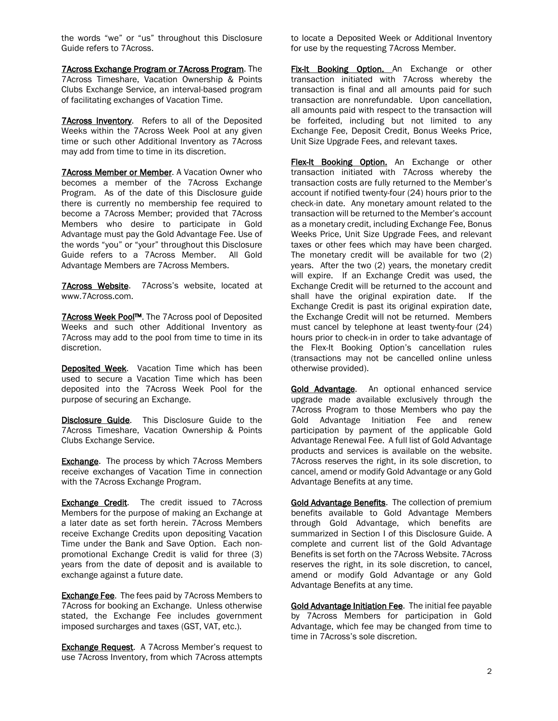the words "we" or "us" throughout this Disclosure Guide refers to 7Across.

**7Across Exchange Program or 7Across Program**. The 7Across Timeshare, Vacation Ownership & Points Clubs Exchange Service, an interval-based program of facilitating exchanges of Vacation Time.

**7Across Inventory.** Refers to all of the Deposited Weeks within the 7Across Week Pool at any given time or such other Additional Inventory as 7Across may add from time to time in its discretion.

**7Across Member or Member.** A Vacation Owner who becomes a member of the 7Across Exchange Program. As of the date of this Disclosure guide there is currently no membership fee required to become a 7Across Member; provided that 7Across Members who desire to participate in Gold Advantage must pay the Gold Advantage Fee. Use of the words "you" or "your" throughout this Disclosure<br>Guide refers to a 7Across Member. All Gold Guide refers to a 7Across Member. Advantage Members are 7Across Members.

7Across Website. 7Across's website, located at www.7Across.com.

7Across Week Pool™. The 7Across pool of Deposited Weeks and such other Additional Inventory as 7Across may add to the pool from time to time in its discretion.

Deposited Week. Vacation Time which has been used to secure a Vacation Time which has been deposited into the 7Across Week Pool for the purpose of securing an Exchange.

Disclosure Guide. This Disclosure Guide to the 7Across Timeshare, Vacation Ownership & Points Clubs Exchange Service.

**Exchange.** The process by which 7Across Members receive exchanges of Vacation Time in connection with the 7Across Exchange Program.

Exchange Credit. The credit issued to 7Across Members for the purpose of making an Exchange at a later date as set forth herein. 7Across Members receive Exchange Credits upon depositing Vacation Time under the Bank and Save Option. Each nonpromotional Exchange Credit is valid for three (3) years from the date of deposit and is available to exchange against a future date.

**Exchange Fee.** The fees paid by 7Across Members to 7Across for booking an Exchange. Unless otherwise stated, the Exchange Fee includes government imposed surcharges and taxes (GST, VAT, etc.).

Exchange Request. A 7Across Member's request to use 7Across Inventory, from which 7Across attempts

to locate a Deposited Week or Additional Inventory for use by the requesting 7Across Member.

Fix-It Booking Option. An Exchange or other transaction initiated with 7Across whereby the transaction is final and all amounts paid for such transaction are nonrefundable. Upon cancellation, all amounts paid with respect to the transaction will be forfeited, including but not limited to any Exchange Fee, Deposit Credit, Bonus Weeks Price, Unit Size Upgrade Fees, and relevant taxes.

Flex-It Booking Option. An Exchange or other transaction initiated with 7Across whereby the transaction costs are fully returned to the Member's account if notified twenty-four (24) hours prior to the check-in date. Any monetary amount related to the transaction will be returned to the Member's account as a monetary credit, including Exchange Fee, Bonus Weeks Price, Unit Size Upgrade Fees, and relevant taxes or other fees which may have been charged. The monetary credit will be available for two (2) years. After the two (2) years, the monetary credit will expire. If an Exchange Credit was used, the Exchange Credit will be returned to the account and shall have the original expiration date. If the Exchange Credit is past its original expiration date, the Exchange Credit will not be returned. Members must cancel by telephone at least twenty-four (24) hours prior to check-in in order to take advantage of the Flex-It Booking Option's cancellation rules (transactions may not be cancelled online unless otherwise provided).

Gold Advantage. An optional enhanced service upgrade made available exclusively through the 7Across Program to those Members who pay the Gold Advantage Initiation Fee and renew participation by payment of the applicable Gold Advantage Renewal Fee. A full list of Gold Advantage products and services is available on the website. 7Across reserves the right, in its sole discretion, to cancel, amend or modify Gold Advantage or any Gold Advantage Benefits at any time.

Gold Advantage Benefits. The collection of premium benefits available to Gold Advantage Members through Gold Advantage, which benefits are summarized in Section I of this Disclosure Guide. A complete and current list of the Gold Advantage Benefits is set forth on the 7Across Website. 7Across reserves the right, in its sole discretion, to cancel, amend or modify Gold Advantage or any Gold Advantage Benefits at any time.

Gold Advantage Initiation Fee. The initial fee payable by 7Across Members for participation in Gold Advantage, which fee may be changed from time to time in 7Across's sole discretion.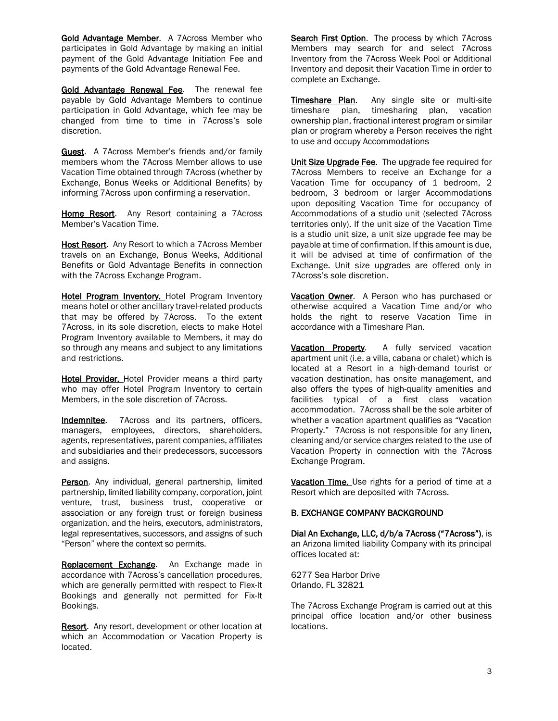Gold Advantage Member. A 7Across Member who participates in Gold Advantage by making an initial payment of the Gold Advantage Initiation Fee and payments of the Gold Advantage Renewal Fee.

Gold Advantage Renewal Fee. The renewal fee payable by Gold Advantage Members to continue participation in Gold Advantage, which fee may be changed from time to time in 7Across's sole discretion.

Guest. A 7Across Member's friends and/or family members whom the 7Across Member allows to use Vacation Time obtained through 7Across (whether by Exchange, Bonus Weeks or Additional Benefits) by informing 7Across upon confirming a reservation.

Home Resort. Any Resort containing a 7Across Member's Vacation Time.

Host Resort. Any Resort to which a 7Across Member travels on an Exchange, Bonus Weeks, Additional Benefits or Gold Advantage Benefits in connection with the 7Across Exchange Program.

Hotel Program Inventory. Hotel Program Inventory means hotel or other ancillary travel-related products that may be offered by 7Across. To the extent 7Across, in its sole discretion, elects to make Hotel Program Inventory available to Members, it may do so through any means and subject to any limitations and restrictions.

Hotel Provider. Hotel Provider means a third party who may offer Hotel Program Inventory to certain Members, in the sole discretion of 7Across.

Indemnitee. 7Across and its partners, officers, managers, employees, directors, shareholders, agents, representatives, parent companies, affiliates and subsidiaries and their predecessors, successors and assigns.

Person. Any individual, general partnership, limited partnership, limited liability company, corporation, joint venture, trust, business trust, cooperative or association or any foreign trust or foreign business organization, and the heirs, executors, administrators, legal representatives, successors, and assigns of such "Person" where the context so permits.

Replacement Exchange. An Exchange made in accordance with 7Across's cancellation procedures, which are generally permitted with respect to Flex-It Bookings and generally not permitted for Fix-It Bookings.

Resort. Any resort, development or other location at which an Accommodation or Vacation Property is located.

Search First Option. The process by which 7Across Members may search for and select 7Across Inventory from the 7Across Week Pool or Additional Inventory and deposit their Vacation Time in order to complete an Exchange.

Timeshare Plan. Any single site or multi-site timeshare plan, timesharing plan, vacation ownership plan, fractional interest program or similar plan or program whereby a Person receives the right to use and occupy Accommodations

Unit Size Upgrade Fee. The upgrade fee required for 7Across Members to receive an Exchange for a Vacation Time for occupancy of 1 bedroom, 2 bedroom, 3 bedroom or larger Accommodations upon depositing Vacation Time for occupancy of Accommodations of a studio unit (selected 7Across territories only). If the unit size of the Vacation Time is a studio unit size, a unit size upgrade fee may be payable at time of confirmation. If this amount is due, it will be advised at time of confirmation of the Exchange. Unit size upgrades are offered only in 7Across's sole discretion.

Vacation Owner. A Person who has purchased or otherwise acquired a Vacation Time and/or who holds the right to reserve Vacation Time in accordance with a Timeshare Plan.

Vacation Property. A fully serviced vacation apartment unit (i.e. a villa, cabana or chalet) which is located at a Resort in a high-demand tourist or vacation destination, has onsite management, and also offers the types of high-quality amenities and facilities typical of a first class vacation accommodation. 7Across shall be the sole arbiter of whether a vacation apartment qualifies as "Vacation Property." 7Across is not responsible for any linen, cleaning and/or service charges related to the use of Vacation Property in connection with the 7Across Exchange Program.

Vacation Time. Use rights for a period of time at a Resort which are deposited with 7Across.

### B. EXCHANGE COMPANY BACKGROUND

Dial An Exchange, LLC, d/b/a 7Across ("7Across"), is an Arizona limited liability Company with its principal offices located at:

6277 Sea Harbor Drive Orlando, FL 32821

The 7Across Exchange Program is carried out at this principal office location and/or other business locations.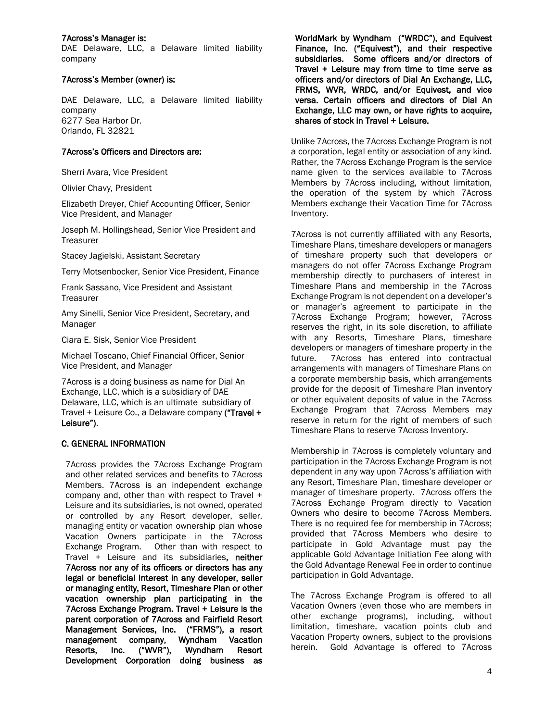# 7Across's Manager is:

DAE Delaware, LLC, a Delaware limited liability company

# 7Across's Member (owner) is:

DAE Delaware, LLC, a Delaware limited liability company 6277 Sea Harbor Dr. Orlando, FL 32821

### 7Across's Officers and Directors are:

Sherri Avara, Vice President

Olivier Chavy, President

Elizabeth Dreyer, Chief Accounting Officer, Senior Vice President, and Manager

Joseph M. Hollingshead, Senior Vice President and **Treasurer** 

Stacey Jagielski, Assistant Secretary

Terry Motsenbocker, Senior Vice President, Finance

Frank Sassano, Vice President and Assistant **Treasurer** 

Amy Sinelli, Senior Vice President, Secretary, and Manager

Ciara E. Sisk, Senior Vice President

Michael Toscano, Chief Financial Officer, Senior Vice President, and Manager

7Across is a doing business as name for Dial An Exchange, LLC, which is a subsidiary of DAE Delaware, LLC, which is an ultimate subsidiary of Travel + Leisure Co., a Delaware company ("Travel + Leisure").

# C. GENERAL INFORMATION

7Across provides the 7Across Exchange Program and other related services and benefits to 7Across Members. 7Across is an independent exchange company and, other than with respect to Travel + Leisure and its subsidiaries, is not owned, operated or controlled by any Resort developer, seller, managing entity or vacation ownership plan whose Vacation Owners participate in the 7Across Exchange Program. Other than with respect to Travel + Leisure and its subsidiaries, neither 7Across nor any of its officers or directors has any legal or beneficial interest in any developer, seller or managing entity, Resort, Timeshare Plan or other vacation ownership plan participating in the 7Across Exchange Program. Travel + Leisure is the parent corporation of 7Across and Fairfield Resort Management Services, Inc. ("FRMS"), a resort management company, Wyndham Vacation Resorts, Inc. ("WVR"), Wyndham Resort Development Corporation doing business as

WorldMark by Wyndham ("WRDC"), and Equivest Finance, Inc. ("Equivest"), and their respective subsidiaries. Some officers and/or directors of Travel + Leisure may from time to time serve as officers and/or directors of Dial An Exchange, LLC, FRMS, WVR, WRDC, and/or Equivest, and vice versa. Certain officers and directors of Dial An Exchange, LLC may own, or have rights to acquire, shares of stock in Travel + Leisure.

Unlike 7Across, the 7Across Exchange Program is not a corporation, legal entity or association of any kind. Rather, the 7Across Exchange Program is the service name given to the services available to 7Across Members by 7Across including, without limitation, the operation of the system by which 7Across Members exchange their Vacation Time for 7Across Inventory.

7Across is not currently affiliated with any Resorts, Timeshare Plans, timeshare developers or managers of timeshare property such that developers or managers do not offer 7Across Exchange Program membership directly to purchasers of interest in Timeshare Plans and membership in the 7Across Exchange Program is not dependent on a developer's or manager's agreement to participate in the 7Across Exchange Program; however, 7Across reserves the right, in its sole discretion, to affiliate with any Resorts, Timeshare Plans, timeshare developers or managers of timeshare property in the future. 7Across has entered into contractual arrangements with managers of Timeshare Plans on a corporate membership basis, which arrangements provide for the deposit of Timeshare Plan inventory or other equivalent deposits of value in the 7Across Exchange Program that 7Across Members may reserve in return for the right of members of such Timeshare Plans to reserve 7Across Inventory.

Membership in 7Across is completely voluntary and participation in the 7Across Exchange Program is not dependent in any way upon 7Across's affiliation with any Resort, Timeshare Plan, timeshare developer or manager of timeshare property. 7Across offers the 7Across Exchange Program directly to Vacation Owners who desire to become 7Across Members. There is no required fee for membership in 7Across; provided that 7Across Members who desire to participate in Gold Advantage must pay the applicable Gold Advantage Initiation Fee along with the Gold Advantage Renewal Fee in order to continue participation in Gold Advantage.

The 7Across Exchange Program is offered to all Vacation Owners (even those who are members in other exchange programs), including, without limitation, timeshare, vacation points club and Vacation Property owners, subject to the provisions herein. Gold Advantage is offered to 7Across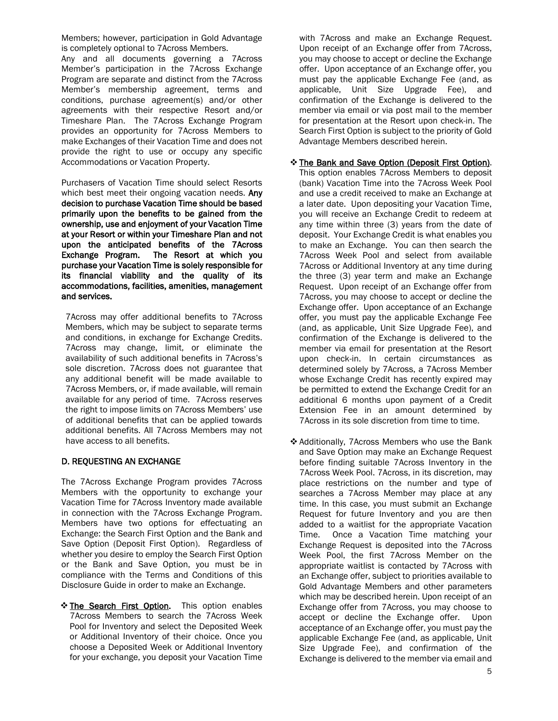Members; however, participation in Gold Advantage is completely optional to 7Across Members.

Any and all documents governing a 7Across Member's participation in the 7Across Exchange Program are separate and distinct from the 7Across Member's membership agreement, terms and conditions, purchase agreement(s) and/or other agreements with their respective Resort and/or Timeshare Plan. The 7Across Exchange Program provides an opportunity for 7Across Members to make Exchanges of their Vacation Time and does not provide the right to use or occupy any specific Accommodations or Vacation Property.

Purchasers of Vacation Time should select Resorts which best meet their ongoing vacation needs. Any decision to purchase Vacation Time should be based primarily upon the benefits to be gained from the ownership, use and enjoyment of your Vacation Time at your Resort or within your Timeshare Plan and not upon the anticipated benefits of the 7Across Exchange Program. The Resort at which you purchase your Vacation Time is solely responsible for its financial viability and the quality of its accommodations, facilities, amenities, management and services.

7Across may offer additional benefits to 7Across Members, which may be subject to separate terms and conditions, in exchange for Exchange Credits. 7Across may change, limit, or eliminate the availability of such additional benefits in 7Across's sole discretion. 7Across does not guarantee that any additional benefit will be made available to 7Across Members, or, if made available, will remain available for any period of time. 7Across reserves the right to impose limits on 7Across Members' use of additional benefits that can be applied towards additional benefits. All 7Across Members may not have access to all benefits.

### D. REQUESTING AN EXCHANGE

The 7Across Exchange Program provides 7Across Members with the opportunity to exchange your Vacation Time for 7Across Inventory made available in connection with the 7Across Exchange Program. Members have two options for effectuating an Exchange: the Search First Option and the Bank and Save Option (Deposit First Option). Regardless of whether you desire to employ the Search First Option or the Bank and Save Option, you must be in compliance with the Terms and Conditions of this Disclosure Guide in order to make an Exchange.

\* The Search First Option. This option enables 7Across Members to search the 7Across Week Pool for Inventory and select the Deposited Week or Additional Inventory of their choice. Once you choose a Deposited Week or Additional Inventory for your exchange, you deposit your Vacation Time with 7Across and make an Exchange Request. Upon receipt of an Exchange offer from 7Across, you may choose to accept or decline the Exchange offer. Upon acceptance of an Exchange offer, you must pay the applicable Exchange Fee (and, as applicable, Unit Size Upgrade Fee), and confirmation of the Exchange is delivered to the member via email or via post mail to the member for presentation at the Resort upon check-in. The Search First Option is subject to the priority of Gold Advantage Members described herein.

# \* The Bank and Save Option (Deposit First Option).

This option enables 7Across Members to deposit (bank) Vacation Time into the 7Across Week Pool and use a credit received to make an Exchange at a later date. Upon depositing your Vacation Time, you will receive an Exchange Credit to redeem at any time within three (3) years from the date of deposit. Your Exchange Credit is what enables you to make an Exchange. You can then search the 7Across Week Pool and select from available 7Across or Additional Inventory at any time during the three (3) year term and make an Exchange Request. Upon receipt of an Exchange offer from 7Across, you may choose to accept or decline the Exchange offer. Upon acceptance of an Exchange offer, you must pay the applicable Exchange Fee (and, as applicable, Unit Size Upgrade Fee), and confirmation of the Exchange is delivered to the member via email for presentation at the Resort upon check-in. In certain circumstances as determined solely by 7Across, a 7Across Member whose Exchange Credit has recently expired may be permitted to extend the Exchange Credit for an additional 6 months upon payment of a Credit Extension Fee in an amount determined by 7Across in its sole discretion from time to time.

❖ Additionally, 7Across Members who use the Bank and Save Option may make an Exchange Request before finding suitable 7Across Inventory in the 7Across Week Pool. 7Across, in its discretion, may place restrictions on the number and type of searches a 7Across Member may place at any time. In this case, you must submit an Exchange Request for future Inventory and you are then added to a waitlist for the appropriate Vacation Time. Once a Vacation Time matching your Exchange Request is deposited into the 7Across Week Pool, the first 7Across Member on the appropriate waitlist is contacted by 7Across with an Exchange offer, subject to priorities available to Gold Advantage Members and other parameters which may be described herein. Upon receipt of an Exchange offer from 7Across, you may choose to accept or decline the Exchange offer. Upon acceptance of an Exchange offer, you must pay the applicable Exchange Fee (and, as applicable, Unit Size Upgrade Fee), and confirmation of the Exchange is delivered to the member via email and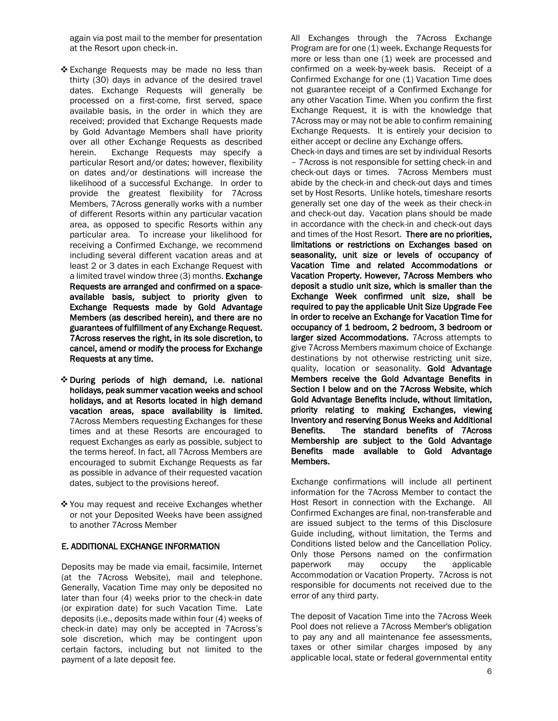again via post mail to the member for presentation at the Resort upon check-in.

- **Exchange Requests may be made no less than** thirty (30) days in advance of the desired travel dates. Exchange Requests will generally be processed on a first-come, first served, space available basis, in the order in which they are received; provided that Exchange Requests made by Gold Advantage Members shall have priority over all other Exchange Requests as described herein. Exchange Requests may specify a particular Resort and/or dates; however, flexibility on dates and/or destinations will increase the likelihood of a successful Exchange. In order to provide the greatest flexibility for 7Across Members, 7Across generally works with a number of different Resorts within any particular vacation area, as opposed to specific Resorts within any particular area. To increase your likelihood for receiving a Confirmed Exchange, we recommend including several different vacation areas and at least 2 or 3 dates in each Exchange Request with a limited travel window three (3) months. Exchange Requests are arranged and confirmed on a spaceavailable basis, subject to priority given to Exchange Requests made by Gold Advantage Members (as described herein), and there are no guarantees of fulfillment of any Exchange Request. 7Across reserves the right, in its sole discretion, to cancel, amend or modify the process for Exchange Requests at any time.
- During periods of high demand, i.e. national holidays, peak summer vacation weeks and school holidays, and at Resorts located in high demand vacation areas, space availability is limited. 7Across Members requesting Exchanges for these times and at these Resorts are encouraged to request Exchanges as early as possible, subject to the terms hereof. In fact, all 7Across Members are encouraged to submit Exchange Requests as far as possible in advance of their requested vacation dates, subject to the provisions hereof.
- ❖ You may request and receive Exchanges whether or not your Deposited Weeks have been assigned to another 7Across Member

### E. ADDITIONAL EXCHANGE INFORMATION

Deposits may be made via email, facsimile, Internet (at the 7Across Website), mail and telephone. Generally, Vacation Time may only be deposited no later than four (4) weeks prior to the check-in date (or expiration date) for such Vacation Time. Late deposits (i.e., deposits made within four (4) weeks of check-in date) may only be accepted in 7Across's sole discretion, which may be contingent upon certain factors, including but not limited to the payment of a late deposit fee.

All Exchanges through the 7Across Exchange Program are for one (1) week. Exchange Requests for more or less than one (1) week are processed and confirmed on a week-by-week basis. Receipt of a Confirmed Exchange for one (1) Vacation Time does not guarantee receipt of a Confirmed Exchange for any other Vacation Time. When you confirm the first Exchange Request, it is with the knowledge that 7Across may or may not be able to confirm remaining Exchange Requests. It is entirely your decision to either accept or decline any Exchange offers.

Check-in days and times are set by individual Resorts – 7Across is not responsible for setting check-in and check-out days or times. 7Across Members must abide by the check-in and check-out days and times set by Host Resorts. Unlike hotels, timeshare resorts generally set one day of the week as their check-in and check-out day. Vacation plans should be made in accordance with the check-in and check-out days and times of the Host Resort. There are no priorities, limitations or restrictions on Exchanges based on seasonality, unit size or levels of occupancy of Vacation Time and related Accommodations or Vacation Property. However, 7Across Members who deposit a studio unit size, which is smaller than the Exchange Week confirmed unit size, shall be required to pay the applicable Unit Size Upgrade Fee in order to receive an Exchange for Vacation Time for occupancy of 1 bedroom, 2 bedroom, 3 bedroom or larger sized Accommodations. 7Across attempts to give 7Across Members maximum choice of Exchange destinations by not otherwise restricting unit size, quality, location or seasonality. Gold Advantage Members receive the Gold Advantage Benefits in Section I below and on the 7Across Website, which Gold Advantage Benefits include, without limitation, priority relating to making Exchanges, viewing Inventory and reserving Bonus Weeks and Additional Benefits. The standard benefits of 7Across Membership are subject to the Gold Advantage Benefits made available to Gold Advantage Members.

Exchange confirmations will include all pertinent information for the 7Across Member to contact the Host Resort in connection with the Exchange. All Confirmed Exchanges are final, non-transferable and are issued subject to the terms of this Disclosure Guide including, without limitation, the Terms and Conditions listed below and the Cancellation Policy. Only those Persons named on the confirmation paperwork may occupy the applicable Accommodation or Vacation Property. 7Across is not responsible for documents not received due to the error of any third party.

The deposit of Vacation Time into the 7Across Week Pool does not relieve a 7Across Member's obligation to pay any and all maintenance fee assessments, taxes or other similar charges imposed by any applicable local, state or federal governmental entity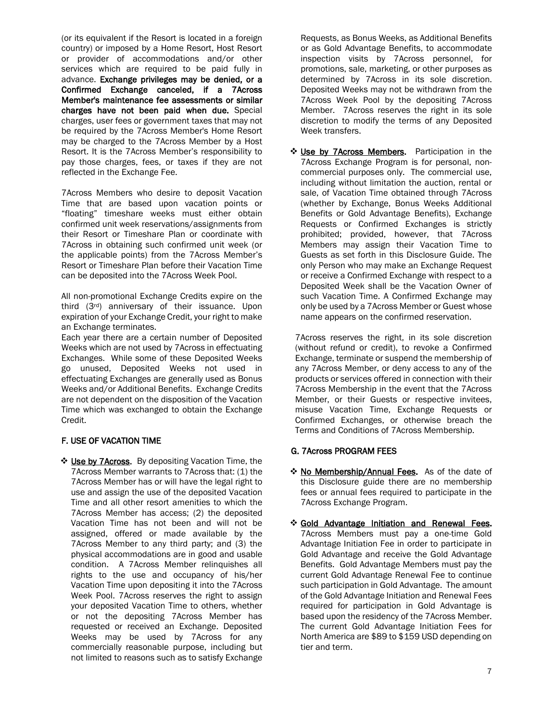(or its equivalent if the Resort is located in a foreign country) or imposed by a Home Resort, Host Resort or provider of accommodations and/or other services which are required to be paid fully in advance. Exchange privileges may be denied, or a Confirmed Exchange canceled, if a 7Across Member's maintenance fee assessments or similar charges have not been paid when due. Special charges, user fees or government taxes that may not be required by the 7Across Member's Home Resort may be charged to the 7Across Member by a Host Resort. It is the 7Across Member's responsibility to pay those charges, fees, or taxes if they are not reflected in the Exchange Fee.

7Across Members who desire to deposit Vacation Time that are based upon vacation points or "floating" timeshare weeks must either obtain confirmed unit week reservations/assignments from their Resort or Timeshare Plan or coordinate with 7Across in obtaining such confirmed unit week (or the applicable points) from the 7Across Member's Resort or Timeshare Plan before their Vacation Time can be deposited into the 7Across Week Pool.

All non-promotional Exchange Credits expire on the third (3rd) anniversary of their issuance. Upon expiration of your Exchange Credit, your right to make an Exchange terminates.

Each year there are a certain number of Deposited Weeks which are not used by 7Across in effectuating Exchanges. While some of these Deposited Weeks go unused, Deposited Weeks not used in effectuating Exchanges are generally used as Bonus Weeks and/or Additional Benefits. Exchange Credits are not dependent on the disposition of the Vacation Time which was exchanged to obtain the Exchange Credit.

# F. USE OF VACATION TIME

 Use by 7Across. By depositing Vacation Time, the 7Across Member warrants to 7Across that: (1) the 7Across Member has or will have the legal right to use and assign the use of the deposited Vacation Time and all other resort amenities to which the 7Across Member has access; (2) the deposited Vacation Time has not been and will not be assigned, offered or made available by the 7Across Member to any third party; and (3) the physical accommodations are in good and usable condition. A 7Across Member relinquishes all rights to the use and occupancy of his/her Vacation Time upon depositing it into the 7Across Week Pool. 7Across reserves the right to assign your deposited Vacation Time to others, whether or not the depositing 7Across Member has requested or received an Exchange. Deposited Weeks may be used by 7Across for any commercially reasonable purpose, including but not limited to reasons such as to satisfy Exchange

Requests, as Bonus Weeks, as Additional Benefits or as Gold Advantage Benefits, to accommodate inspection visits by 7Across personnel, for promotions, sale, marketing, or other purposes as determined by 7Across in its sole discretion. Deposited Weeks may not be withdrawn from the 7Across Week Pool by the depositing 7Across Member. 7Across reserves the right in its sole discretion to modify the terms of any Deposited Week transfers.

\* Use by 7Across Members. Participation in the 7Across Exchange Program is for personal, noncommercial purposes only. The commercial use, including without limitation the auction, rental or sale, of Vacation Time obtained through 7Across (whether by Exchange, Bonus Weeks Additional Benefits or Gold Advantage Benefits), Exchange Requests or Confirmed Exchanges is strictly prohibited; provided, however, that 7Across Members may assign their Vacation Time to Guests as set forth in this Disclosure Guide. The only Person who may make an Exchange Request or receive a Confirmed Exchange with respect to a Deposited Week shall be the Vacation Owner of such Vacation Time. A Confirmed Exchange may only be used by a 7Across Member or Guest whose name appears on the confirmed reservation.

7Across reserves the right, in its sole discretion (without refund or credit), to revoke a Confirmed Exchange, terminate or suspend the membership of any 7Across Member, or deny access to any of the products or services offered in connection with their 7Across Membership in the event that the 7Across Member, or their Guests or respective invitees, misuse Vacation Time, Exchange Requests or Confirmed Exchanges, or otherwise breach the Terms and Conditions of 7Across Membership.

# G. 7Across PROGRAM FEES

- \* No Membership/Annual Fees. As of the date of this Disclosure guide there are no membership fees or annual fees required to participate in the 7Across Exchange Program.
- Gold Advantage Initiation and Renewal Fees. 7Across Members must pay a one-time Gold Advantage Initiation Fee in order to participate in Gold Advantage and receive the Gold Advantage Benefits. Gold Advantage Members must pay the current Gold Advantage Renewal Fee to continue such participation in Gold Advantage. The amount of the Gold Advantage Initiation and Renewal Fees required for participation in Gold Advantage is based upon the residency of the 7Across Member. The current Gold Advantage Initiation Fees for North America are \$89 to \$159 USD depending on tier and term.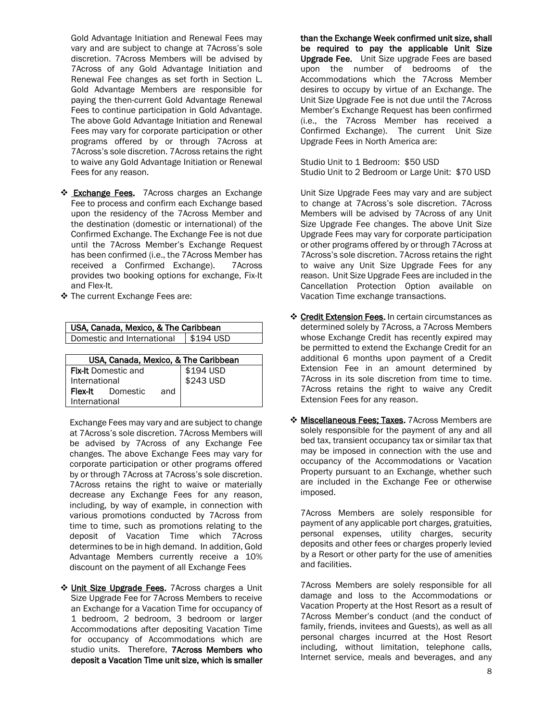Gold Advantage Initiation and Renewal Fees may vary and are subject to change at 7Across's sole discretion. 7Across Members will be advised by 7Across of any Gold Advantage Initiation and Renewal Fee changes as set forth in Section L. Gold Advantage Members are responsible for paying the then-current Gold Advantage Renewal Fees to continue participation in Gold Advantage. The above Gold Advantage Initiation and Renewal Fees may vary for corporate participation or other programs offered by or through 7Across at 7Across's sole discretion. 7Across retains the right to waive any Gold Advantage Initiation or Renewal Fees for any reason.

- \* Exchange Fees. 7Across charges an Exchange Fee to process and confirm each Exchange based upon the residency of the 7Across Member and the destination (domestic or international) of the Confirmed Exchange. The Exchange Fee is not due until the 7Across Member's Exchange Request has been confirmed (i.e., the 7Across Member has received a Confirmed Exchange). 7Across provides two booking options for exchange, Fix-It and Flex-It.
- \* The current Exchange Fees are:

|               | USA, Canada, Mexico, & The Caribbean |     |                                      |  |  |
|---------------|--------------------------------------|-----|--------------------------------------|--|--|
|               | Domestic and International           |     | \$194 USD                            |  |  |
|               |                                      |     |                                      |  |  |
|               |                                      |     | USA, Canada, Mexico, & The Caribbean |  |  |
|               | <b>Fix-It Domestic and</b>           |     | \$194 USD                            |  |  |
| International |                                      |     | \$243 USD                            |  |  |
|               | <b>Flex-It</b> Domestic              | and |                                      |  |  |
| International |                                      |     |                                      |  |  |

Exchange Fees may vary and are subject to change at 7Across's sole discretion. 7Across Members will be advised by 7Across of any Exchange Fee changes. The above Exchange Fees may vary for corporate participation or other programs offered by or through 7Across at 7Across's sole discretion. 7Across retains the right to waive or materially decrease any Exchange Fees for any reason, including, by way of example, in connection with various promotions conducted by 7Across from time to time, such as promotions relating to the deposit of Vacation Time which 7Across determines to be in high demand. In addition, Gold Advantage Members currently receive a 10% discount on the payment of all Exchange Fees

◆ Unit Size Upgrade Fees. 7Across charges a Unit Size Upgrade Fee for 7Across Members to receive an Exchange for a Vacation Time for occupancy of 1 bedroom, 2 bedroom, 3 bedroom or larger Accommodations after depositing Vacation Time for occupancy of Accommodations which are studio units. Therefore, 7Across Members who deposit a Vacation Time unit size, which is smaller than the Exchange Week confirmed unit size, shall be required to pay the applicable Unit Size Upgrade Fee. Unit Size upgrade Fees are based upon the number of bedrooms of the Accommodations which the 7Across Member desires to occupy by virtue of an Exchange. The Unit Size Upgrade Fee is not due until the 7Across Member's Exchange Request has been confirmed (i.e., the 7Across Member has received a Confirmed Exchange). The current Unit Size Upgrade Fees in North America are:

Studio Unit to 1 Bedroom: \$50 USD Studio Unit to 2 Bedroom or Large Unit: \$70 USD

Unit Size Upgrade Fees may vary and are subject to change at 7Across's sole discretion. 7Across Members will be advised by 7Across of any Unit Size Upgrade Fee changes. The above Unit Size Upgrade Fees may vary for corporate participation or other programs offered by or through 7Across at 7Across's sole discretion. 7Across retains the right to waive any Unit Size Upgrade Fees for any reason. Unit Size Upgrade Fees are included in the Cancellation Protection Option available on Vacation Time exchange transactions.

- Credit Extension Fees. In certain circumstances as determined solely by 7Across, a 7Across Members whose Exchange Credit has recently expired may be permitted to extend the Exchange Credit for an additional 6 months upon payment of a Credit Extension Fee in an amount determined by 7Across in its sole discretion from time to time. 7Across retains the right to waive any Credit Extension Fees for any reason.
- \* Miscellaneous Fees; Taxes. 7Across Members are solely responsible for the payment of any and all bed tax, transient occupancy tax or similar tax that may be imposed in connection with the use and occupancy of the Accommodations or Vacation Property pursuant to an Exchange, whether such are included in the Exchange Fee or otherwise imposed.

7Across Members are solely responsible for payment of any applicable port charges, gratuities, personal expenses, utility charges, security deposits and other fees or charges properly levied by a Resort or other party for the use of amenities and facilities.

7Across Members are solely responsible for all damage and loss to the Accommodations or Vacation Property at the Host Resort as a result of 7Across Member's conduct (and the conduct of family, friends, invitees and Guests), as well as all personal charges incurred at the Host Resort including, without limitation, telephone calls, Internet service, meals and beverages, and any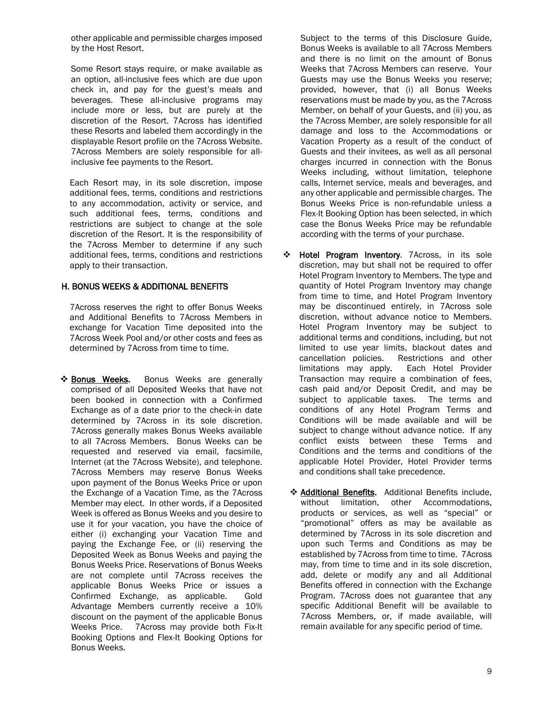other applicable and permissible charges imposed by the Host Resort.

Some Resort stays require, or make available as an option, all-inclusive fees which are due upon check in, and pay for the guest's meals and beverages. These all-inclusive programs may include more or less, but are purely at the discretion of the Resort. 7Across has identified these Resorts and labeled them accordingly in the displayable Resort profile on the 7Across Website. 7Across Members are solely responsible for allinclusive fee payments to the Resort.

Each Resort may, in its sole discretion, impose additional fees, terms, conditions and restrictions to any accommodation, activity or service, and such additional fees, terms, conditions and restrictions are subject to change at the sole discretion of the Resort. It is the responsibility of the 7Across Member to determine if any such additional fees, terms, conditions and restrictions apply to their transaction.

# H. BONUS WEEKS & ADDITIONAL BENEFITS

7Across reserves the right to offer Bonus Weeks and Additional Benefits to 7Across Members in exchange for Vacation Time deposited into the 7Across Week Pool and/or other costs and fees as determined by 7Across from time to time.

\* Bonus Weeks. Bonus Weeks are generally comprised of all Deposited Weeks that have not been booked in connection with a Confirmed Exchange as of a date prior to the check-in date determined by 7Across in its sole discretion. 7Across generally makes Bonus Weeks available to all 7Across Members. Bonus Weeks can be requested and reserved via email, facsimile, Internet (at the 7Across Website), and telephone. 7Across Members may reserve Bonus Weeks upon payment of the Bonus Weeks Price or upon the Exchange of a Vacation Time, as the 7Across Member may elect. In other words, if a Deposited Week is offered as Bonus Weeks and you desire to use it for your vacation, you have the choice of either (i) exchanging your Vacation Time and paying the Exchange Fee, or (ii) reserving the Deposited Week as Bonus Weeks and paying the Bonus Weeks Price. Reservations of Bonus Weeks are not complete until 7Across receives the applicable Bonus Weeks Price or issues a Confirmed Exchange, as applicable. Gold Advantage Members currently receive a 10% discount on the payment of the applicable Bonus Weeks Price. 7Across may provide both Fix-It Booking Options and Flex-It Booking Options for Bonus Weeks.

Subject to the terms of this Disclosure Guide, Bonus Weeks is available to all 7Across Members and there is no limit on the amount of Bonus Weeks that 7Across Members can reserve. Your Guests may use the Bonus Weeks you reserve; provided, however, that (i) all Bonus Weeks reservations must be made by you, as the 7Across Member, on behalf of your Guests, and (ii) you, as the 7Across Member, are solely responsible for all damage and loss to the Accommodations or Vacation Property as a result of the conduct of Guests and their invitees, as well as all personal charges incurred in connection with the Bonus Weeks including, without limitation, telephone calls, Internet service, meals and beverages, and any other applicable and permissible charges. The Bonus Weeks Price is non-refundable unless a Flex-It Booking Option has been selected, in which case the Bonus Weeks Price may be refundable according with the terms of your purchase.

- \* Hotel Program Inventory. 7Across, in its sole discretion, may but shall not be required to offer Hotel Program Inventory to Members. The type and quantity of Hotel Program Inventory may change from time to time, and Hotel Program Inventory may be discontinued entirely, in 7Across sole discretion, without advance notice to Members. Hotel Program Inventory may be subject to additional terms and conditions, including, but not limited to use year limits, blackout dates and cancellation policies. Restrictions and other limitations may apply. Each Hotel Provider Transaction may require a combination of fees, cash paid and/or Deposit Credit, and may be subject to applicable taxes. The terms and conditions of any Hotel Program Terms and Conditions will be made available and will be subject to change without advance notice. If any conflict exists between these Terms and Conditions and the terms and conditions of the applicable Hotel Provider, Hotel Provider terms and conditions shall take precedence.
	- ❖ Additional Benefits. Additional Benefits include, without limitation, other Accommodations, products or services, as well as "special" or "promotional" offers as may be available as determined by 7Across in its sole discretion and upon such Terms and Conditions as may be established by 7Across from time to time. 7Across may, from time to time and in its sole discretion, add, delete or modify any and all Additional Benefits offered in connection with the Exchange Program. 7Across does not guarantee that any specific Additional Benefit will be available to 7Across Members, or, if made available, will remain available for any specific period of time.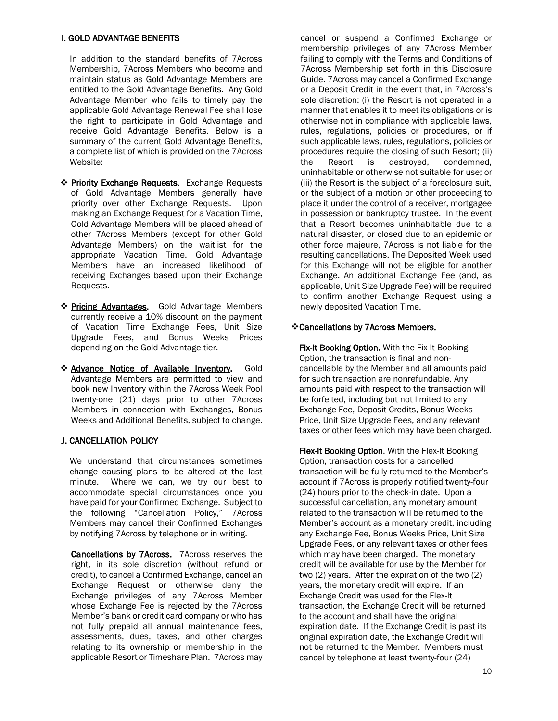#### I. GOLD ADVANTAGE BENEFITS

In addition to the standard benefits of 7Across Membership, 7Across Members who become and maintain status as Gold Advantage Members are entitled to the Gold Advantage Benefits. Any Gold Advantage Member who fails to timely pay the applicable Gold Advantage Renewal Fee shall lose the right to participate in Gold Advantage and receive Gold Advantage Benefits. Below is a summary of the current Gold Advantage Benefits, a complete list of which is provided on the 7Across Website:

- **Exchange Requests.** Exchange Requests. **Priority Exchange** of Gold Advantage Members generally have priority over other Exchange Requests. Upon making an Exchange Request for a Vacation Time, Gold Advantage Members will be placed ahead of other 7Across Members (except for other Gold Advantage Members) on the waitlist for the appropriate Vacation Time. Gold Advantage Members have an increased likelihood of receiving Exchanges based upon their Exchange Requests.
- **Ericing Advantages.** Gold Advantage Members currently receive a 10% discount on the payment of Vacation Time Exchange Fees, Unit Size Upgrade Fees, and Bonus Weeks Prices depending on the Gold Advantage tier.
- \* Advance Notice of Available Inventory. Gold Advantage Members are permitted to view and book new Inventory within the 7Across Week Pool twenty-one (21) days prior to other 7Across Members in connection with Exchanges, Bonus Weeks and Additional Benefits, subject to change.

#### J. CANCELLATION POLICY

We understand that circumstances sometimes change causing plans to be altered at the last minute. Where we can, we try our best to accommodate special circumstances once you have paid for your Confirmed Exchange. Subject to the following "Cancellation Policy," 7Across Members may cancel their Confirmed Exchanges by notifying 7Across by telephone or in writing.

Cancellations by 7Across. 7Across reserves the right, in its sole discretion (without refund or credit), to cancel a Confirmed Exchange, cancel an Exchange Request or otherwise deny the Exchange privileges of any 7Across Member whose Exchange Fee is rejected by the 7Across Member's bank or credit card company or who has not fully prepaid all annual maintenance fees, assessments, dues, taxes, and other charges relating to its ownership or membership in the applicable Resort or Timeshare Plan. 7Across may

cancel or suspend a Confirmed Exchange or membership privileges of any 7Across Member failing to comply with the Terms and Conditions of 7Across Membership set forth in this Disclosure Guide. 7Across may cancel a Confirmed Exchange or a Deposit Credit in the event that, in 7Across's sole discretion: (i) the Resort is not operated in a manner that enables it to meet its obligations or is otherwise not in compliance with applicable laws, rules, regulations, policies or procedures, or if such applicable laws, rules, regulations, policies or procedures require the closing of such Resort; (ii) the Resort is destroyed, condemned, uninhabitable or otherwise not suitable for use; or (iii) the Resort is the subject of a foreclosure suit, or the subject of a motion or other proceeding to place it under the control of a receiver, mortgagee in possession or bankruptcy trustee. In the event that a Resort becomes uninhabitable due to a natural disaster, or closed due to an epidemic or other force majeure, 7Across is not liable for the resulting cancellations. The Deposited Week used for this Exchange will not be eligible for another Exchange. An additional Exchange Fee (and, as applicable, Unit Size Upgrade Fee) will be required to confirm another Exchange Request using a newly deposited Vacation Time.

#### Cancellations by 7Across Members.

Fix-It Booking Option. With the Fix-It Booking Option, the transaction is final and noncancellable by the Member and all amounts paid for such transaction are nonrefundable. Any amounts paid with respect to the transaction will be forfeited, including but not limited to any Exchange Fee, Deposit Credits, Bonus Weeks Price, Unit Size Upgrade Fees, and any relevant taxes or other fees which may have been charged.

Flex-It Booking Option. With the Flex-It Booking Option, transaction costs for a cancelled transaction will be fully returned to the Member's account if 7Across is properly notified twenty-four (24) hours prior to the check-in date. Upon a successful cancellation, any monetary amount related to the transaction will be returned to the Member's account as a monetary credit, including any Exchange Fee, Bonus Weeks Price, Unit Size Upgrade Fees, or any relevant taxes or other fees which may have been charged. The monetary credit will be available for use by the Member for two (2) years. After the expiration of the two (2) years, the monetary credit will expire. If an Exchange Credit was used for the Flex-It transaction, the Exchange Credit will be returned to the account and shall have the original expiration date. If the Exchange Credit is past its original expiration date, the Exchange Credit will not be returned to the Member. Members must cancel by telephone at least twenty-four (24)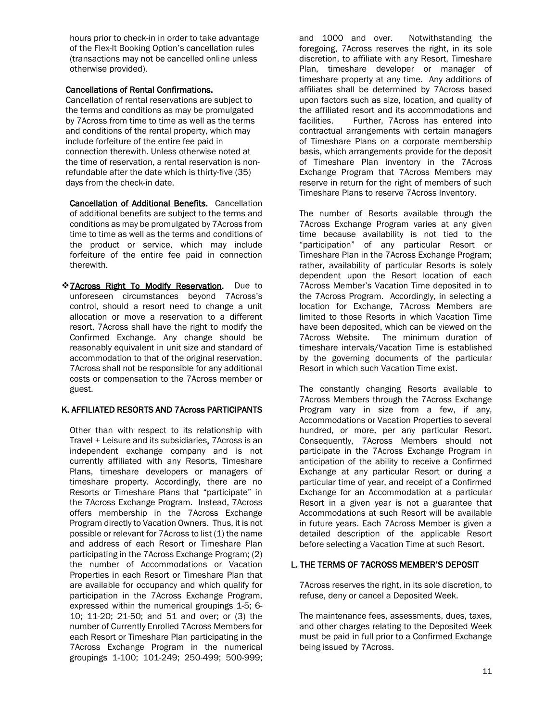hours prior to check-in in order to take advantage of the Flex-It Booking Option's cancellation rules (transactions may not be cancelled online unless otherwise provided).

# Cancellations of Rental Confirmations.

Cancellation of rental reservations are subject to the terms and conditions as may be promulgated by 7Across from time to time as well as the terms and conditions of the rental property, which may include forfeiture of the entire fee paid in connection therewith. Unless otherwise noted at the time of reservation, a rental reservation is nonrefundable after the date which is thirty-five (35) days from the check-in date.

Cancellation of Additional Benefits. Cancellation of additional benefits are subject to the terms and conditions as may be promulgated by 7Across from time to time as well as the terms and conditions of the product or service, which may include forfeiture of the entire fee paid in connection therewith.

\*7Across Right To Modify Reservation. Due to unforeseen circumstances beyond 7Across's control, should a resort need to change a unit allocation or move a reservation to a different resort, 7Across shall have the right to modify the Confirmed Exchange. Any change should be reasonably equivalent in unit size and standard of accommodation to that of the original reservation. 7Across shall not be responsible for any additional costs or compensation to the 7Across member or guest.

### K. AFFILIATED RESORTS AND 7Across PARTICIPANTS

Other than with respect to its relationship with Travel + Leisure and its subsidiaries, 7Across is an independent exchange company and is not currently affiliated with any Resorts, Timeshare Plans, timeshare developers or managers of timeshare property. Accordingly, there are no Resorts or Timeshare Plans that "participate" in the 7Across Exchange Program. Instead, 7Across offers membership in the 7Across Exchange Program directly to Vacation Owners. Thus, it is not possible or relevant for 7Across to list (1) the name and address of each Resort or Timeshare Plan participating in the 7Across Exchange Program; (2) the number of Accommodations or Vacation Properties in each Resort or Timeshare Plan that are available for occupancy and which qualify for participation in the 7Across Exchange Program, expressed within the numerical groupings 1-5; 6- 10; 11-20; 21-50; and 51 and over; or (3) the number of Currently Enrolled 7Across Members for each Resort or Timeshare Plan participating in the 7Across Exchange Program in the numerical groupings 1-100; 101-249; 250-499; 500-999;

and 1000 and over. Notwithstanding the foregoing, 7Across reserves the right, in its sole discretion, to affiliate with any Resort, Timeshare Plan, timeshare developer or manager of timeshare property at any time. Any additions of affiliates shall be determined by 7Across based upon factors such as size, location, and quality of the affiliated resort and its accommodations and facilities. Further, 7Across has entered into contractual arrangements with certain managers of Timeshare Plans on a corporate membership basis, which arrangements provide for the deposit of Timeshare Plan inventory in the 7Across Exchange Program that 7Across Members may reserve in return for the right of members of such Timeshare Plans to reserve 7Across Inventory.

The number of Resorts available through the 7Across Exchange Program varies at any given time because availability is not tied to the "participation" of any particular Resort or Timeshare Plan in the 7Across Exchange Program; rather, availability of particular Resorts is solely dependent upon the Resort location of each 7Across Member's Vacation Time deposited in to the 7Across Program. Accordingly, in selecting a location for Exchange, 7Across Members are limited to those Resorts in which Vacation Time have been deposited, which can be viewed on the 7Across Website. The minimum duration of The minimum duration of timeshare intervals/Vacation Time is established by the governing documents of the particular Resort in which such Vacation Time exist.

The constantly changing Resorts available to 7Across Members through the 7Across Exchange Program vary in size from a few, if any, Accommodations or Vacation Properties to several hundred, or more, per any particular Resort. Consequently, 7Across Members should not participate in the 7Across Exchange Program in anticipation of the ability to receive a Confirmed Exchange at any particular Resort or during a particular time of year, and receipt of a Confirmed Exchange for an Accommodation at a particular Resort in a given year is not a guarantee that Accommodations at such Resort will be available in future years. Each 7Across Member is given a detailed description of the applicable Resort before selecting a Vacation Time at such Resort.

### L. THE TERMS OF 7ACROSS MEMBER'S DEPOSIT

7Across reserves the right, in its sole discretion, to refuse, deny or cancel a Deposited Week.

The maintenance fees, assessments, dues, taxes, and other charges relating to the Deposited Week must be paid in full prior to a Confirmed Exchange being issued by 7Across.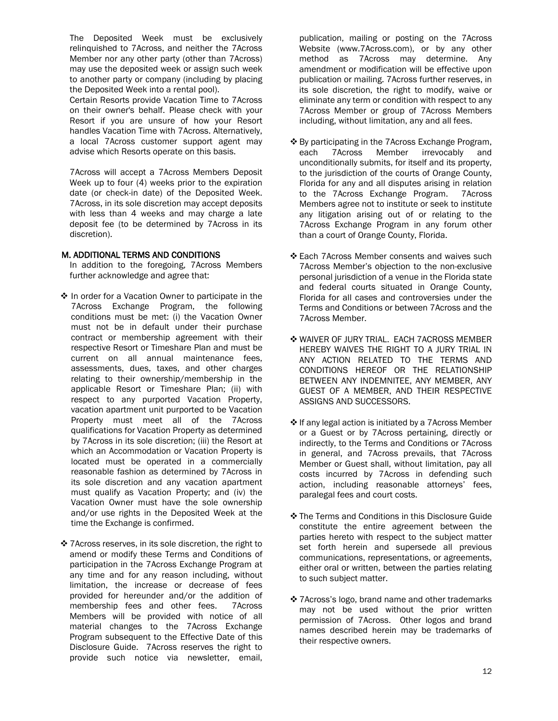The Deposited Week must be exclusively relinquished to 7Across, and neither the 7Across Member nor any other party (other than 7Across) may use the deposited week or assign such week to another party or company (including by placing the Deposited Week into a rental pool).

Certain Resorts provide Vacation Time to 7Across on their owner's behalf. Please check with your Resort if you are unsure of how your Resort handles Vacation Time with 7Across. Alternatively, a local 7Across customer support agent may advise which Resorts operate on this basis.

7Across will accept a 7Across Members Deposit Week up to four (4) weeks prior to the expiration date (or check-in date) of the Deposited Week. 7Across, in its sole discretion may accept deposits with less than 4 weeks and may charge a late deposit fee (to be determined by 7Across in its discretion).

#### M. ADDITIONAL TERMS AND CONDITIONS

- In addition to the foregoing, 7Across Members further acknowledge and agree that:
- ❖ In order for a Vacation Owner to participate in the 7Across Exchange Program, the following conditions must be met: (i) the Vacation Owner must not be in default under their purchase contract or membership agreement with their respective Resort or Timeshare Plan and must be current on all annual maintenance fees, assessments, dues, taxes, and other charges relating to their ownership/membership in the applicable Resort or Timeshare Plan; (ii) with respect to any purported Vacation Property, vacation apartment unit purported to be Vacation Property must meet all of the 7Across qualifications for Vacation Property as determined by 7Across in its sole discretion; (iii) the Resort at which an Accommodation or Vacation Property is located must be operated in a commercially reasonable fashion as determined by 7Across in its sole discretion and any vacation apartment must qualify as Vacation Property; and (iv) the Vacation Owner must have the sole ownership and/or use rights in the Deposited Week at the time the Exchange is confirmed.
- 7Across reserves, in its sole discretion, the right to amend or modify these Terms and Conditions of participation in the 7Across Exchange Program at any time and for any reason including, without limitation, the increase or decrease of fees provided for hereunder and/or the addition of membership fees and other fees. 7Across Members will be provided with notice of all material changes to the 7Across Exchange Program subsequent to the Effective Date of this Disclosure Guide. 7Across reserves the right to provide such notice via newsletter, email,

publication, mailing or posting on the 7Across Website (www.7Across.com), or by any other method as 7Across may determine. Any amendment or modification will be effective upon publication or mailing. 7Across further reserves, in its sole discretion, the right to modify, waive or eliminate any term or condition with respect to any 7Across Member or group of 7Across Members including, without limitation, any and all fees.

- ❖ By participating in the 7Across Exchange Program, each 7Across Member irrevocably and unconditionally submits, for itself and its property, to the jurisdiction of the courts of Orange County, Florida for any and all disputes arising in relation to the 7Across Exchange Program. 7Across Members agree not to institute or seek to institute any litigation arising out of or relating to the 7Across Exchange Program in any forum other than a court of Orange County, Florida.
- Each 7Across Member consents and waives such 7Across Member's objection to the non-exclusive personal jurisdiction of a venue in the Florida state and federal courts situated in Orange County, Florida for all cases and controversies under the Terms and Conditions or between 7Across and the 7Across Member.
- WAIVER OF JURY TRIAL. EACH 7ACROSS MEMBER HEREBY WAIVES THE RIGHT TO A JURY TRIAL IN ANY ACTION RELATED TO THE TERMS AND CONDITIONS HEREOF OR THE RELATIONSHIP BETWEEN ANY INDEMNITEE, ANY MEMBER, ANY GUEST OF A MEMBER, AND THEIR RESPECTIVE ASSIGNS AND SUCCESSORS.
- If any legal action is initiated by a 7Across Member or a Guest or by 7Across pertaining, directly or indirectly, to the Terms and Conditions or 7Across in general, and 7Across prevails, that 7Across Member or Guest shall, without limitation, pay all costs incurred by 7Across in defending such action, including reasonable attorneys' fees, paralegal fees and court costs.
- The Terms and Conditions in this Disclosure Guide constitute the entire agreement between the parties hereto with respect to the subject matter set forth herein and supersede all previous communications, representations, or agreements, either oral or written, between the parties relating to such subject matter.
- ❖ 7Across's logo, brand name and other trademarks may not be used without the prior written permission of 7Across. Other logos and brand names described herein may be trademarks of their respective owners.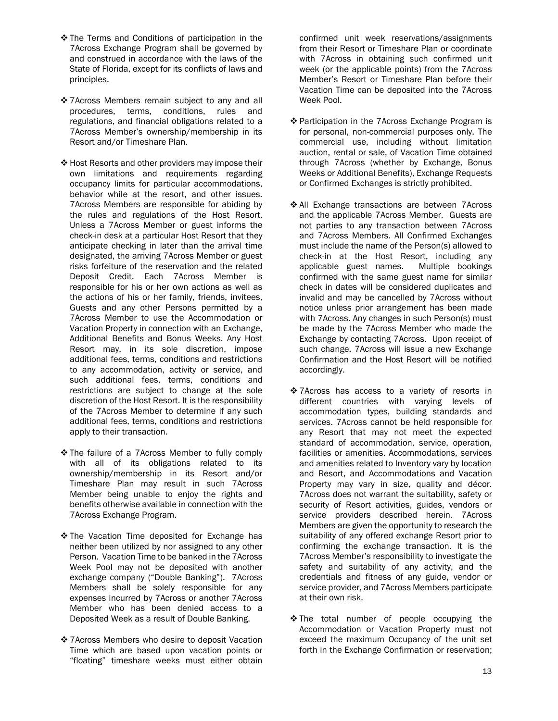- ◆ The Terms and Conditions of participation in the 7Across Exchange Program shall be governed by and construed in accordance with the laws of the State of Florida, except for its conflicts of laws and principles.
- ❖ 7Across Members remain subject to any and all procedures, terms, conditions, rules and regulations, and financial obligations related to a 7Across Member's ownership/membership in its Resort and/or Timeshare Plan.
- ❖ Host Resorts and other providers may impose their own limitations and requirements regarding occupancy limits for particular accommodations, behavior while at the resort, and other issues. 7Across Members are responsible for abiding by the rules and regulations of the Host Resort. Unless a 7Across Member or guest informs the check-in desk at a particular Host Resort that they anticipate checking in later than the arrival time designated, the arriving 7Across Member or guest risks forfeiture of the reservation and the related Deposit Credit. Each 7Across Member is responsible for his or her own actions as well as the actions of his or her family, friends, invitees, Guests and any other Persons permitted by a 7Across Member to use the Accommodation or Vacation Property in connection with an Exchange, Additional Benefits and Bonus Weeks. Any Host Resort may, in its sole discretion, impose additional fees, terms, conditions and restrictions to any accommodation, activity or service, and such additional fees, terms, conditions and restrictions are subject to change at the sole discretion of the Host Resort. It is the responsibility of the 7Across Member to determine if any such additional fees, terms, conditions and restrictions apply to their transaction.
- The failure of a 7Across Member to fully comply with all of its obligations related to its ownership/membership in its Resort and/or Timeshare Plan may result in such 7Across Member being unable to enjoy the rights and benefits otherwise available in connection with the 7Across Exchange Program.
- **\*** The Vacation Time deposited for Exchange has neither been utilized by nor assigned to any other Person. Vacation Time to be banked in the 7Across Week Pool may not be deposited with another exchange company ("Double Banking"). 7Across Members shall be solely responsible for any expenses incurred by 7Across or another 7Across Member who has been denied access to a Deposited Week as a result of Double Banking.
- ◆ 7Across Members who desire to deposit Vacation Time which are based upon vacation points or "floating" timeshare weeks must either obtain

confirmed unit week reservations/assignments from their Resort or Timeshare Plan or coordinate with 7Across in obtaining such confirmed unit week (or the applicable points) from the 7Across Member's Resort or Timeshare Plan before their Vacation Time can be deposited into the 7Across Week Pool.

- ❖ Participation in the 7Across Exchange Program is for personal, non-commercial purposes only. The commercial use, including without limitation auction, rental or sale, of Vacation Time obtained through 7Across (whether by Exchange, Bonus Weeks or Additional Benefits), Exchange Requests or Confirmed Exchanges is strictly prohibited.
- ❖ All Exchange transactions are between 7Across and the applicable 7Across Member. Guests are not parties to any transaction between 7Across and 7Across Members. All Confirmed Exchanges must include the name of the Person(s) allowed to check-in at the Host Resort, including any applicable guest names. Multiple bookings confirmed with the same guest name for similar check in dates will be considered duplicates and invalid and may be cancelled by 7Across without notice unless prior arrangement has been made with 7Across. Any changes in such Person(s) must be made by the 7Across Member who made the Exchange by contacting 7Across. Upon receipt of such change, 7Across will issue a new Exchange Confirmation and the Host Resort will be notified accordingly.
- 7Across has access to a variety of resorts in different countries with varying levels of accommodation types, building standards and services. 7Across cannot be held responsible for any Resort that may not meet the expected standard of accommodation, service, operation, facilities or amenities. Accommodations, services and amenities related to Inventory vary by location and Resort, and Accommodations and Vacation Property may vary in size, quality and décor. 7Across does not warrant the suitability, safety or security of Resort activities, guides, vendors or service providers described herein. 7Across Members are given the opportunity to research the suitability of any offered exchange Resort prior to confirming the exchange transaction. It is the 7Across Member's responsibility to investigate the safety and suitability of any activity, and the credentials and fitness of any guide, vendor or service provider, and 7Across Members participate at their own risk.
- \* The total number of people occupying the Accommodation or Vacation Property must not exceed the maximum Occupancy of the unit set forth in the Exchange Confirmation or reservation;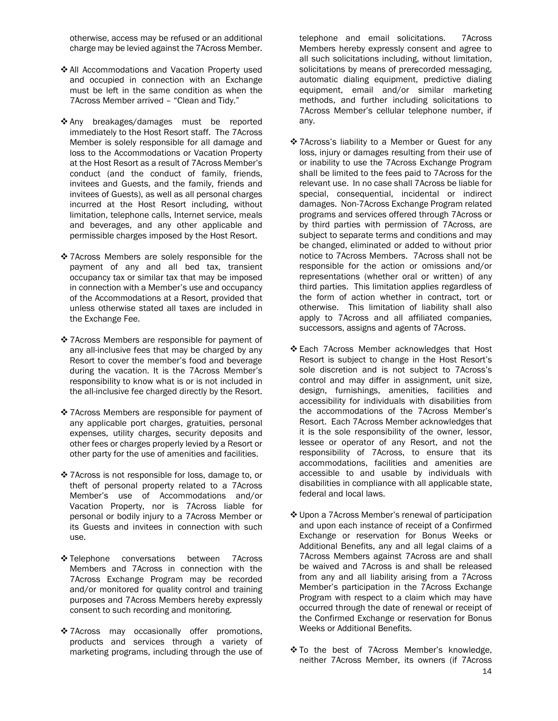otherwise, access may be refused or an additional charge may be levied against the 7Across Member.

- ◆ All Accommodations and Vacation Property used and occupied in connection with an Exchange must be left in the same condition as when the 7Across Member arrived – "Clean and Tidy."
- \* Any breakages/damages must be reported immediately to the Host Resort staff. The 7Across Member is solely responsible for all damage and loss to the Accommodations or Vacation Property at the Host Resort as a result of 7Across Member's conduct (and the conduct of family, friends, invitees and Guests, and the family, friends and invitees of Guests), as well as all personal charges incurred at the Host Resort including, without limitation, telephone calls, Internet service, meals and beverages, and any other applicable and permissible charges imposed by the Host Resort.
- ❖ 7Across Members are solely responsible for the payment of any and all bed tax, transient occupancy tax or similar tax that may be imposed in connection with a Member's use and occupancy of the Accommodations at a Resort, provided that unless otherwise stated all taxes are included in the Exchange Fee.
- ◆ 7Across Members are responsible for payment of any all-inclusive fees that may be charged by any Resort to cover the member's food and beverage during the vacation. It is the 7Across Member's responsibility to know what is or is not included in the all-inclusive fee charged directly by the Resort.
- 7Across Members are responsible for payment of any applicable port charges, gratuities, personal expenses, utility charges, security deposits and other fees or charges properly levied by a Resort or other party for the use of amenities and facilities.
- 7Across is not responsible for loss, damage to, or theft of personal property related to a 7Across Member's use of Accommodations and/or Vacation Property, nor is 7Across liable for personal or bodily injury to a 7Across Member or its Guests and invitees in connection with such use.
- **\*** Telephone conversations between 7Across Members and 7Across in connection with the 7Across Exchange Program may be recorded and/or monitored for quality control and training purposes and 7Across Members hereby expressly consent to such recording and monitoring.
- \* 7Across may occasionally offer promotions, products and services through a variety of marketing programs, including through the use of

telephone and email solicitations. 7Across Members hereby expressly consent and agree to all such solicitations including, without limitation, solicitations by means of prerecorded messaging, automatic dialing equipment, predictive dialing equipment, email and/or similar marketing methods, and further including solicitations to 7Across Member's cellular telephone number, if any.

- 7Across's liability to a Member or Guest for any loss, injury or damages resulting from their use of or inability to use the 7Across Exchange Program shall be limited to the fees paid to 7Across for the relevant use. In no case shall 7Across be liable for special, consequential, incidental or indirect damages. Non-7Across Exchange Program related programs and services offered through 7Across or by third parties with permission of 7Across, are subject to separate terms and conditions and may be changed, eliminated or added to without prior notice to 7Across Members. 7Across shall not be responsible for the action or omissions and/or representations (whether oral or written) of any third parties. This limitation applies regardless of the form of action whether in contract, tort or otherwise. This limitation of liability shall also apply to 7Across and all affiliated companies, successors, assigns and agents of 7Across.
- ❖ Each 7Across Member acknowledges that Host Resort is subject to change in the Host Resort's sole discretion and is not subject to 7Across's control and may differ in assignment, unit size, design, furnishings, amenities, facilities and accessibility for individuals with disabilities from the accommodations of the 7Across Member's Resort. Each 7Across Member acknowledges that it is the sole responsibility of the owner, lessor, lessee or operator of any Resort, and not the responsibility of 7Across, to ensure that its accommodations, facilities and amenities are accessible to and usable by individuals with disabilities in compliance with all applicable state, federal and local laws.
- Upon a 7Across Member's renewal of participation and upon each instance of receipt of a Confirmed Exchange or reservation for Bonus Weeks or Additional Benefits, any and all legal claims of a 7Across Members against 7Across are and shall be waived and 7Across is and shall be released from any and all liability arising from a 7Across Member's participation in the 7Across Exchange Program with respect to a claim which may have occurred through the date of renewal or receipt of the Confirmed Exchange or reservation for Bonus Weeks or Additional Benefits.
- ❖ To the best of 7Across Member's knowledge, neither 7Across Member, its owners (if 7Across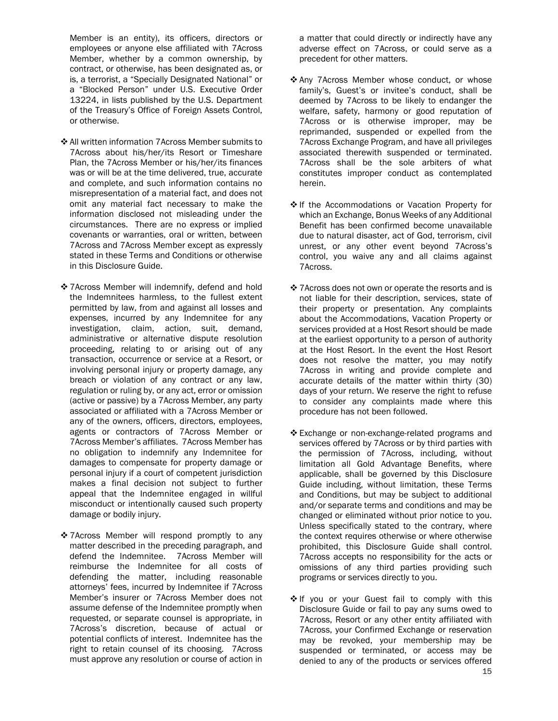Member is an entity), its officers, directors or employees or anyone else affiliated with 7Across Member, whether by a common ownership, by contract, or otherwise, has been designated as, or is, a terrorist, a "Specially Designated National" or a "Blocked Person" under U.S. Executive Order 13224, in lists published by the U.S. Department of the Treasury's Office of Foreign Assets Control, or otherwise.

- ❖ All written information 7Across Member submits to 7Across about his/her/its Resort or Timeshare Plan, the 7Across Member or his/her/its finances was or will be at the time delivered, true, accurate and complete, and such information contains no misrepresentation of a material fact, and does not omit any material fact necessary to make the information disclosed not misleading under the circumstances. There are no express or implied covenants or warranties, oral or written, between 7Across and 7Across Member except as expressly stated in these Terms and Conditions or otherwise in this Disclosure Guide.
- 7Across Member will indemnify, defend and hold the Indemnitees harmless, to the fullest extent permitted by law, from and against all losses and expenses, incurred by any Indemnitee for any investigation, claim, action, suit, demand, administrative or alternative dispute resolution proceeding, relating to or arising out of any transaction, occurrence or service at a Resort, or involving personal injury or property damage, any breach or violation of any contract or any law, regulation or ruling by, or any act, error or omission (active or passive) by a 7Across Member, any party associated or affiliated with a 7Across Member or any of the owners, officers, directors, employees, agents or contractors of 7Across Member or 7Across Member's affiliates. 7Across Member has no obligation to indemnify any Indemnitee for damages to compensate for property damage or personal injury if a court of competent jurisdiction makes a final decision not subject to further appeal that the Indemnitee engaged in willful misconduct or intentionally caused such property damage or bodily injury.
- ❖ 7Across Member will respond promptly to any matter described in the preceding paragraph, and defend the Indemnitee. 7Across Member will reimburse the Indemnitee for all costs of defending the matter, including reasonable attorneys' fees, incurred by Indemnitee if 7Across Member's insurer or 7Across Member does not assume defense of the Indemnitee promptly when requested, or separate counsel is appropriate, in 7Across's discretion, because of actual or potential conflicts of interest. Indemnitee has the right to retain counsel of its choosing. 7Across must approve any resolution or course of action in

a matter that could directly or indirectly have any adverse effect on 7Across, or could serve as a precedent for other matters.

- \* Any 7Across Member whose conduct, or whose family's, Guest's or invitee's conduct, shall be deemed by 7Across to be likely to endanger the welfare, safety, harmony or good reputation of 7Across or is otherwise improper, may be reprimanded, suspended or expelled from the 7Across Exchange Program, and have all privileges associated therewith suspended or terminated. 7Across shall be the sole arbiters of what constitutes improper conduct as contemplated herein.
- ❖ If the Accommodations or Vacation Property for which an Exchange, Bonus Weeks of any Additional Benefit has been confirmed become unavailable due to natural disaster, act of God, terrorism, civil unrest, or any other event beyond 7Across's control, you waive any and all claims against 7Across.
- 7Across does not own or operate the resorts and is not liable for their description, services, state of their property or presentation. Any complaints about the Accommodations, Vacation Property or services provided at a Host Resort should be made at the earliest opportunity to a person of authority at the Host Resort. In the event the Host Resort does not resolve the matter, you may notify 7Across in writing and provide complete and accurate details of the matter within thirty (30) days of your return. We reserve the right to refuse to consider any complaints made where this procedure has not been followed.
- Exchange or non-exchange-related programs and services offered by 7Across or by third parties with the permission of 7Across, including, without limitation all Gold Advantage Benefits, where applicable, shall be governed by this Disclosure Guide including, without limitation, these Terms and Conditions, but may be subject to additional and/or separate terms and conditions and may be changed or eliminated without prior notice to you. Unless specifically stated to the contrary, where the context requires otherwise or where otherwise prohibited, this Disclosure Guide shall control. 7Across accepts no responsibility for the acts or omissions of any third parties providing such programs or services directly to you.
- ❖ If you or your Guest fail to comply with this Disclosure Guide or fail to pay any sums owed to 7Across, Resort or any other entity affiliated with 7Across, your Confirmed Exchange or reservation may be revoked, your membership may be suspended or terminated, or access may be denied to any of the products or services offered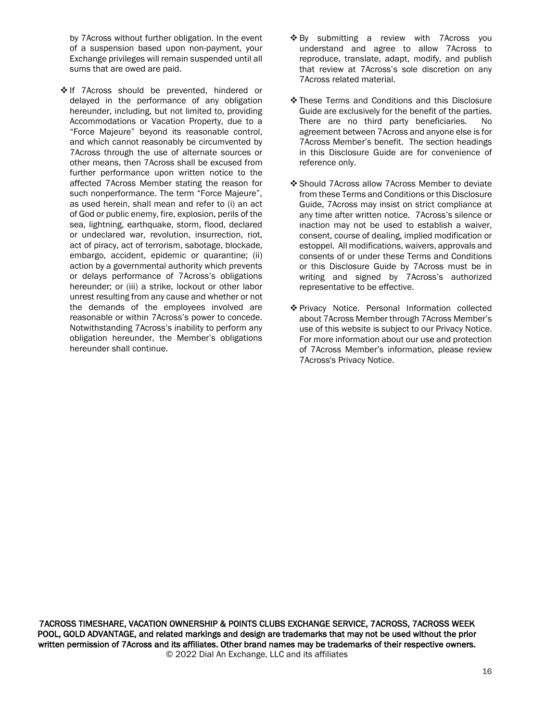by 7Across without further obligation. In the event of a suspension based upon non-payment, your Exchange privileges will remain suspended until all sums that are owed are paid.

- ❖ If 7Across should be prevented, hindered or delayed in the performance of any obligation hereunder, including, but not limited to, providing Accommodations or Vacation Property, due to a "Force Majeure" beyond its reasonable control, and which cannot reasonably be circumvented by 7Across through the use of alternate sources or other means, then 7Across shall be excused from further performance upon written notice to the affected 7Across Member stating the reason for such nonperformance. The term "Force Majeure", as used herein, shall mean and refer to (i) an act of God or public enemy, fire, explosion, perils of the sea, lightning, earthquake, storm, flood, declared or undeclared war, revolution, insurrection, riot, act of piracy, act of terrorism, sabotage, blockade, embargo, accident, epidemic or quarantine; (ii) action by a governmental authority which prevents or delays performance of 7Across's obligations hereunder; or (iii) a strike, lockout or other labor unrest resulting from any cause and whether or not the demands of the employees involved are reasonable or within 7Across's power to concede. Notwithstanding 7Across's inability to perform any obligation hereunder, the Member's obligations hereunder shall continue.
- By submitting a review with 7Across you understand and agree to allow 7Across to reproduce, translate, adapt, modify, and publish that review at 7Across's sole discretion on any 7Across related material.
- These Terms and Conditions and this Disclosure Guide are exclusively for the benefit of the parties. There are no third party beneficiaries. No agreement between 7Across and anyone else is for 7Across Member's benefit. The section headings in this Disclosure Guide are for convenience of reference only.
- Should 7Across allow 7Across Member to deviate from these Terms and Conditions or this Disclosure Guide, 7Across may insist on strict compliance at any time after written notice. 7Across's silence or inaction may not be used to establish a waiver, consent, course of dealing, implied modification or estoppel. All modifications, waivers, approvals and consents of or under these Terms and Conditions or this Disclosure Guide by 7Across must be in writing and signed by 7Across's authorized representative to be effective.
- Privacy Notice. Personal Information collected about 7Across Member through 7Across Member's use of this website is subject to our Privacy Notice. For more information about our use and protection of 7Across Member's information, please review 7Across's Privacy Notice.

7ACROSS TIMESHARE, VACATION OWNERSHIP & POINTS CLUBS EXCHANGE SERVICE, 7ACROSS, 7ACROSS WEEK POOL, GOLD ADVANTAGE, and related markings and design are trademarks that may not be used without the prior written permission of 7Across and its affiliates. Other brand names may be trademarks of their respective owners. © 2022 Dial An Exchange, LLC and its affiliates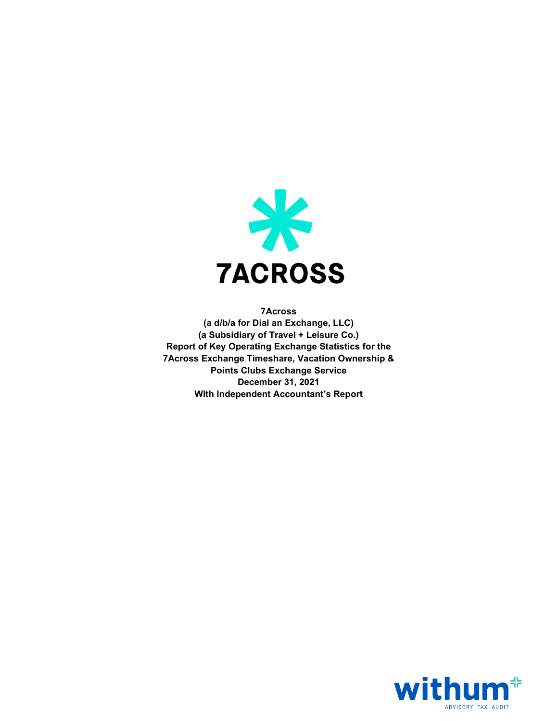

7Across (a d/b/a for Dial an Exchange, LLC) (a Subsidiary of Travel + Leisure Co.) Report of Key Operating Exchange Statistics for the 7Across Exchange Timeshare, Vacation Ownership & Points Clubs Exchange Service December 31, 2021 With Independent Accountant's Report

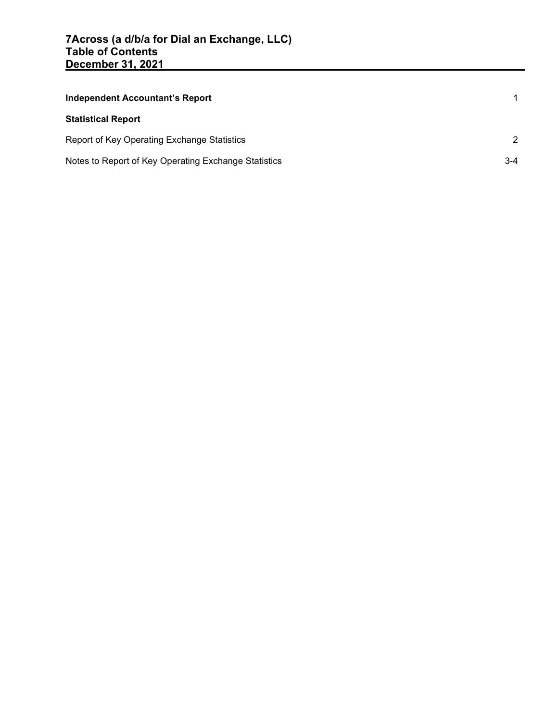| <b>Independent Accountant's Report</b>               |       |
|------------------------------------------------------|-------|
| <b>Statistical Report</b>                            |       |
| Report of Key Operating Exchange Statistics          | 2     |
| Notes to Report of Key Operating Exchange Statistics | $3-4$ |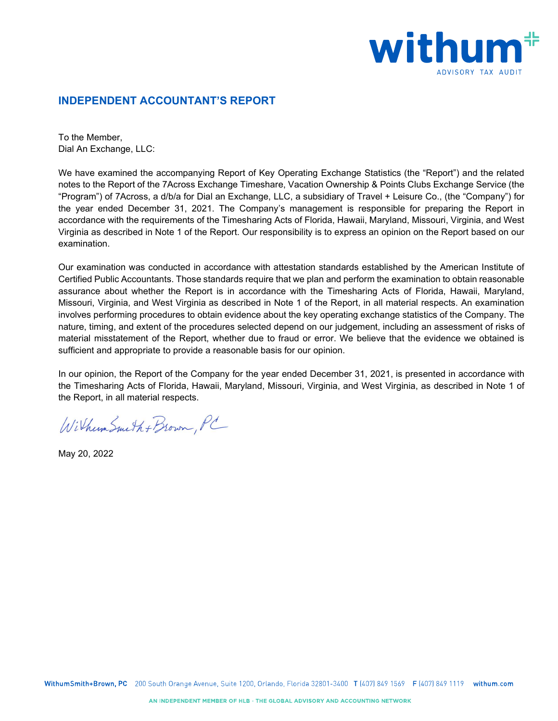

# INDEPENDENT ACCOUNTANT'S REPORT

To the Member, Dial An Exchange, LLC:

We have examined the accompanying Report of Key Operating Exchange Statistics (the "Report") and the related notes to the Report of the 7Across Exchange Timeshare, Vacation Ownership & Points Clubs Exchange Service (the "Program") of 7Across, a d/b/a for Dial an Exchange, LLC, a subsidiary of Travel + Leisure Co., (the "Company") for the year ended December 31, 2021. The Company's management is responsible for preparing the Report in accordance with the requirements of the Timesharing Acts of Florida, Hawaii, Maryland, Missouri, Virginia, and West Virginia as described in Note 1 of the Report. Our responsibility is to express an opinion on the Report based on our examination.

Our examination was conducted in accordance with attestation standards established by the American Institute of Certified Public Accountants. Those standards require that we plan and perform the examination to obtain reasonable assurance about whether the Report is in accordance with the Timesharing Acts of Florida, Hawaii, Maryland, Missouri, Virginia, and West Virginia as described in Note 1 of the Report, in all material respects. An examination involves performing procedures to obtain evidence about the key operating exchange statistics of the Company. The nature, timing, and extent of the procedures selected depend on our judgement, including an assessment of risks of material misstatement of the Report, whether due to fraud or error. We believe that the evidence we obtained is sufficient and appropriate to provide a reasonable basis for our opinion.

In our opinion, the Report of the Company for the year ended December 31, 2021, is presented in accordance with the Timesharing Acts of Florida, Hawaii, Maryland, Missouri, Virginia, and West Virginia, as described in Note 1 of the Report, in all material respects.

Wilkinsmith+Brown, PC

May 20, 2022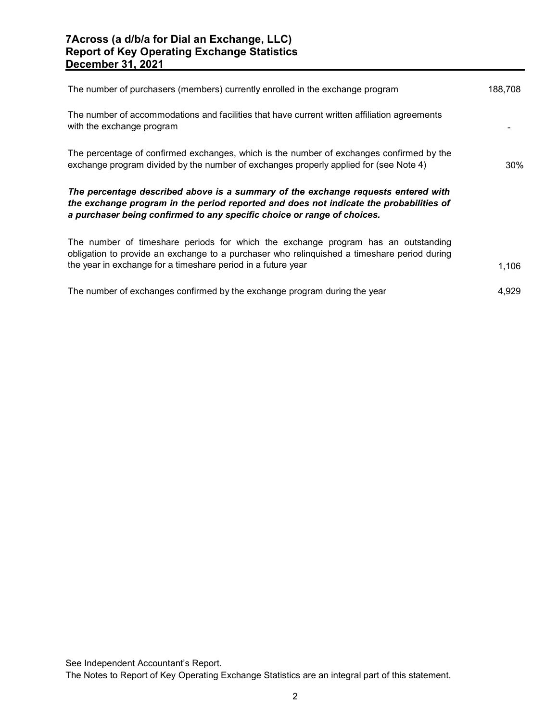| 7Across (a d/b/a for Dial an Exchange, LLC)<br><b>Report of Key Operating Exchange Statistics</b><br><b>December 31, 2021</b>                                                                                                                          |         |  |
|--------------------------------------------------------------------------------------------------------------------------------------------------------------------------------------------------------------------------------------------------------|---------|--|
| The number of purchasers (members) currently enrolled in the exchange program                                                                                                                                                                          | 188,708 |  |
| The number of accommodations and facilities that have current written affiliation agreements<br>with the exchange program                                                                                                                              |         |  |
| The percentage of confirmed exchanges, which is the number of exchanges confirmed by the<br>exchange program divided by the number of exchanges properly applied for (see Note 4)                                                                      | 30%     |  |
| The percentage described above is a summary of the exchange requests entered with<br>the exchange program in the period reported and does not indicate the probabilities of<br>a purchaser being confirmed to any specific choice or range of choices. |         |  |
| The number of timeshare periods for which the exchange program has an outstanding<br>obligation to provide an exchange to a purchaser who relinquished a timeshare period during<br>the year in exchange for a timeshare period in a future year       | 1,106   |  |
| The number of exchanges confirmed by the exchange program during the year                                                                                                                                                                              | 4,929   |  |
|                                                                                                                                                                                                                                                        |         |  |

See Independent Accountant's Report.

The Notes to Report of Key Operating Exchange Statistics are an integral part of this statement.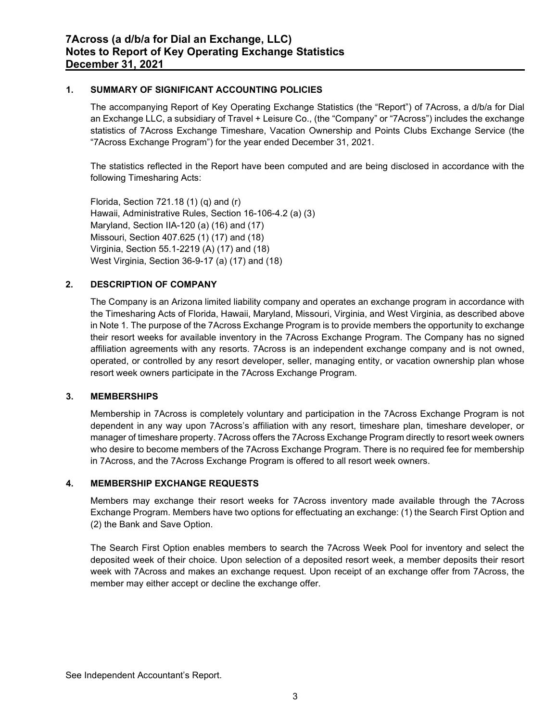# 1. SUMMARY OF SIGNIFICANT ACCOUNTING POLICIES

The accompanying Report of Key Operating Exchange Statistics (the "Report") of 7Across, a d/b/a for Dial an Exchange LLC, a subsidiary of Travel + Leisure Co., (the "Company" or "7Across") includes the exchange statistics of 7Across Exchange Timeshare, Vacation Ownership and Points Clubs Exchange Service (the "7Across Exchange Program") for the year ended December 31, 2021.

The statistics reflected in the Report have been computed and are being disclosed in accordance with the following Timesharing Acts:

Florida, Section 721.18 (1) (q) and (r) Hawaii, Administrative Rules, Section 16-106-4.2 (a) (3) Maryland, Section IIA-120 (a) (16) and (17) Missouri, Section 407.625 (1) (17) and (18) Virginia, Section 55.1-2219 (A) (17) and (18) West Virginia, Section 36-9-17 (a) (17) and (18)

# 2. DESCRIPTION OF COMPANY

The Company is an Arizona limited liability company and operates an exchange program in accordance with the Timesharing Acts of Florida, Hawaii, Maryland, Missouri, Virginia, and West Virginia, as described above in Note 1. The purpose of the 7Across Exchange Program is to provide members the opportunity to exchange their resort weeks for available inventory in the 7Across Exchange Program. The Company has no signed affiliation agreements with any resorts. 7Across is an independent exchange company and is not owned, operated, or controlled by any resort developer, seller, managing entity, or vacation ownership plan whose resort week owners participate in the 7Across Exchange Program.

# 3. MEMBERSHIPS

Membership in 7Across is completely voluntary and participation in the 7Across Exchange Program is not dependent in any way upon 7Across's affiliation with any resort, timeshare plan, timeshare developer, or manager of timeshare property. 7Across offers the 7Across Exchange Program directly to resort week owners who desire to become members of the 7Across Exchange Program. There is no required fee for membership in 7Across, and the 7Across Exchange Program is offered to all resort week owners.

# 4. MEMBERSHIP EXCHANGE REQUESTS

Members may exchange their resort weeks for 7Across inventory made available through the 7Across Exchange Program. Members have two options for effectuating an exchange: (1) the Search First Option and (2) the Bank and Save Option.

The Search First Option enables members to search the 7Across Week Pool for inventory and select the deposited week of their choice. Upon selection of a deposited resort week, a member deposits their resort week with 7Across and makes an exchange request. Upon receipt of an exchange offer from 7Across, the member may either accept or decline the exchange offer.

See Independent Accountant's Report.